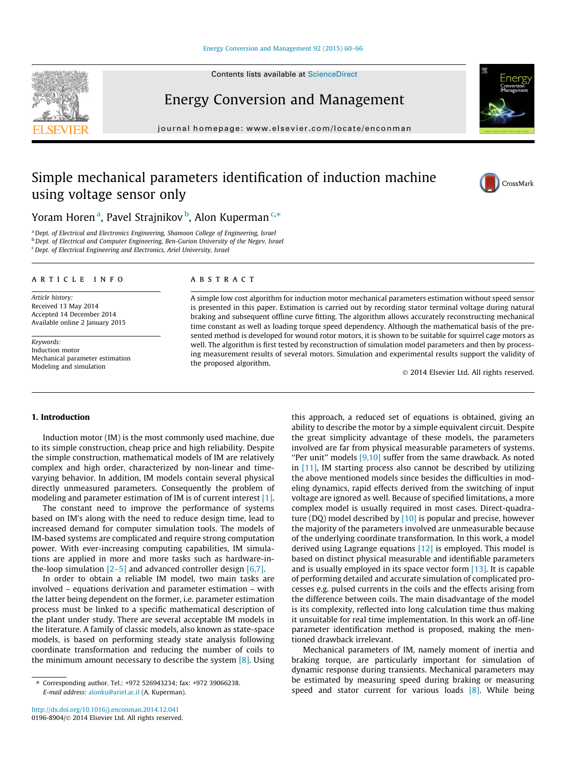#### [Energy Conversion and Management 92 \(2015\) 60–66](http://dx.doi.org/10.1016/j.enconman.2014.12.041)

Contents lists available at [ScienceDirect](http://www.sciencedirect.com/science/journal/01968904)





### Energy Conversion and Management

journal homepage: [www.elsevier.com/locate/enconman](http://www.elsevier.com/locate/enconman)

## Simple mechanical parameters identification of induction machine using voltage sensor only



Yoram Horen <sup>a</sup>, Pavel Strajnikov <sup>b</sup>, Alon Kuperman <sup>c,</sup>\*

<sup>a</sup> Dept. of Electrical and Electronics Engineering, Shamoon College of Engineering, Israel b Dept. of Electrical and Computer Engineering, Ben-Gurion University of the Negev, Israel <sup>c</sup> Dept. of Electrical Engineering and Electronics, Ariel University, Israel

#### article info

Article history: Received 13 May 2014 Accepted 14 December 2014 Available online 2 January 2015

Keywords: Induction motor Mechanical parameter estimation Modeling and simulation

#### ABSTRACT

A simple low cost algorithm for induction motor mechanical parameters estimation without speed sensor is presented in this paper. Estimation is carried out by recording stator terminal voltage during natural braking and subsequent offline curve fitting. The algorithm allows accurately reconstructing mechanical time constant as well as loading torque speed dependency. Although the mathematical basis of the presented method is developed for wound rotor motors, it is shown to be suitable for squirrel cage motors as well. The algorithm is first tested by reconstruction of simulation model parameters and then by processing measurement results of several motors. Simulation and experimental results support the validity of the proposed algorithm.

- 2014 Elsevier Ltd. All rights reserved.

#### 1. Introduction

Induction motor (IM) is the most commonly used machine, due to its simple construction, cheap price and high reliability. Despite the simple construction, mathematical models of IM are relatively complex and high order, characterized by non-linear and timevarying behavior. In addition, IM models contain several physical directly unmeasured parameters. Consequently the problem of modeling and parameter estimation of IM is of current interest [\[1\].](#page--1-0)

The constant need to improve the performance of systems based on IM's along with the need to reduce design time, lead to increased demand for computer simulation tools. The models of IM-based systems are complicated and require strong computation power. With ever-increasing computing capabilities, IM simulations are applied in more and more tasks such as hardware-inthe-loop simulation  $[2-5]$  and advanced controller design  $[6,7]$ .

In order to obtain a reliable IM model, two main tasks are involved – equations derivation and parameter estimation – with the latter being dependent on the former, i.e. parameter estimation process must be linked to a specific mathematical description of the plant under study. There are several acceptable IM models in the literature. A family of classic models, also known as state-space models, is based on performing steady state analysis following coordinate transformation and reducing the number of coils to the minimum amount necessary to describe the system  $[8]$ . Using this approach, a reduced set of equations is obtained, giving an ability to describe the motor by a simple equivalent circuit. Despite the great simplicity advantage of these models, the parameters involved are far from physical measurable parameters of systems. "Per unit" models  $[9,10]$  suffer from the same drawback. As noted in [\[11\],](#page--1-0) IM starting process also cannot be described by utilizing the above mentioned models since besides the difficulties in modeling dynamics, rapid effects derived from the switching of input voltage are ignored as well. Because of specified limitations, a more complex model is usually required in most cases. Direct-quadrature (DQ) model described by  $[10]$  is popular and precise, however the majority of the parameters involved are unmeasurable because of the underlying coordinate transformation. In this work, a model derived using Lagrange equations [\[12\]](#page--1-0) is employed. This model is based on distinct physical measurable and identifiable parameters and is usually employed in its space vector form  $[13]$ . It is capable of performing detailed and accurate simulation of complicated processes e.g. pulsed currents in the coils and the effects arising from the difference between coils. The main disadvantage of the model is its complexity, reflected into long calculation time thus making it unsuitable for real time implementation. In this work an off-line parameter identification method is proposed, making the mentioned drawback irrelevant.

Mechanical parameters of IM, namely moment of inertia and braking torque, are particularly important for simulation of dynamic response during transients. Mechanical parameters may be estimated by measuring speed during braking or measuring speed and stator current for various loads [\[8\].](#page--1-0) While being

<sup>⇑</sup> Corresponding author. Tel.: +972 526943234; fax: +972 39066238. E-mail address: [alonku@ariel.ac.il](mailto:alonku@ariel.ac.il) (A. Kuperman).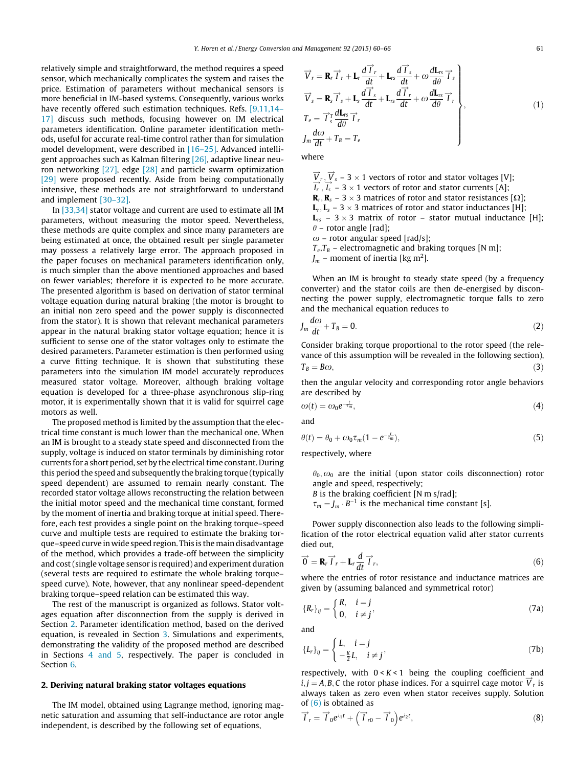relatively simple and straightforward, the method requires a speed sensor, which mechanically complicates the system and raises the price. Estimation of parameters without mechanical sensors is more beneficial in IM-based systems. Consequently, various works have recently offered such estimation techniques. Refs. [\[9,11,14–](#page--1-0) [17\]](#page--1-0) discuss such methods, focusing however on IM electrical parameters identification. Online parameter identification methods, useful for accurate real-time control rather than for simulation model development, were described in [\[16–25\].](#page--1-0) Advanced intelligent approaches such as Kalman filtering [\[26\]](#page--1-0), adaptive linear neuron networking [\[27\]](#page--1-0), edge [\[28\]](#page--1-0) and particle swarm optimization [\[29\]](#page--1-0) were proposed recently. Aside from being computationally intensive, these methods are not straightforward to understand and implement [\[30–32\].](#page--1-0)

In [\[33,34\]](#page--1-0) stator voltage and current are used to estimate all IM parameters, without measuring the motor speed. Nevertheless, these methods are quite complex and since many parameters are being estimated at once, the obtained result per single parameter may possess a relatively large error. The approach proposed in the paper focuses on mechanical parameters identification only, is much simpler than the above mentioned approaches and based on fewer variables; therefore it is expected to be more accurate. The presented algorithm is based on derivation of stator terminal voltage equation during natural braking (the motor is brought to an initial non zero speed and the power supply is disconnected from the stator). It is shown that relevant mechanical parameters appear in the natural braking stator voltage equation; hence it is sufficient to sense one of the stator voltages only to estimate the desired parameters. Parameter estimation is then performed using a curve fitting technique. It is shown that substituting these parameters into the simulation IM model accurately reproduces measured stator voltage. Moreover, although braking voltage equation is developed for a three-phase asynchronous slip-ring motor, it is experimentally shown that it is valid for squirrel cage motors as well.

The proposed method is limited by the assumption that the electrical time constant is much lower than the mechanical one. When an IM is brought to a steady state speed and disconnected from the supply, voltage is induced on stator terminals by diminishing rotor currents for a short period, set by the electrical time constant. During this period the speed and subsequently the braking torque (typically speed dependent) are assumed to remain nearly constant. The recorded stator voltage allows reconstructing the relation between the initial motor speed and the mechanical time constant, formed by the moment of inertia and braking torque at initial speed. Therefore, each test provides a single point on the braking torque–speed curve and multiple tests are required to estimate the braking torque–speed curve in wide speed region. This is the main disadvantage of the method, which provides a trade-off between the simplicity and cost (single voltage sensor is required) and experiment duration (several tests are required to estimate the whole braking torque– speed curve). Note, however, that any nonlinear speed-dependent braking torque–speed relation can be estimated this way.

The rest of the manuscript is organized as follows. Stator voltages equation after disconnection from the supply is derived in Section 2. Parameter identification method, based on the derived equation, is revealed in Section [3](#page--1-0). Simulations and experiments, demonstrating the validity of the proposed method are described in Sections [4 and 5](#page--1-0), respectively. The paper is concluded in Section [6](#page--1-0).

#### 2. Deriving natural braking stator voltages equations

The IM model, obtained using Lagrange method, ignoring magnetic saturation and assuming that self-inductance are rotor angle independent, is described by the following set of equations,

$$
\overrightarrow{V}_{r} = \mathbf{R}_{r} \overrightarrow{T}_{r} + \mathbf{L}_{r} \frac{d \overrightarrow{T}_{r}}{dt} + \mathbf{L}_{rs} \frac{d \overrightarrow{T}_{s}}{dt} + \omega \frac{d \mathbf{L}_{rs}}{d\theta} \overrightarrow{T}_{s}
$$
\n
$$
\overrightarrow{V}_{s} = \mathbf{R}_{s} \overrightarrow{T}_{s} + \mathbf{L}_{s} \frac{d \overrightarrow{T}_{s}}{dt} + \mathbf{L}_{rs} \frac{d \overrightarrow{T}_{r}}{dt} + \omega \frac{d \mathbf{L}_{rs}}{d\theta} \overrightarrow{T}_{r}
$$
\n
$$
T_{e} = \overrightarrow{T}_{s} \frac{d \mathbf{L}_{rs}}{d\theta} \overrightarrow{T}_{r}
$$
\n
$$
J_{m} \frac{d\omega}{dt} + T_{B} = T_{e}
$$
\n(1)

where

 $\overrightarrow{V}_r$ ,  $\overrightarrow{V}_s$  – 3  $\times$  1 vectors of rotor and stator voltages [V];  $\overrightarrow{I_r}, \overrightarrow{I_s}$  = 3  $\times$  1 vectors of rotor and stator currents [A];  $\mathbf{R}_r, \mathbf{R}_s$  – 3  $\times$  3 matrices of rotor and stator resistances [ $\Omega$ ];  ${\bf L}_r, {\bf L}_s$  – 3  $\times$  3 matrices of rotor and stator inductances [H];  ${\bf L}_{rs}$  – 3  $\times$  3 matrix of rotor – stator mutual inductance [H];  $\theta$  – rotor angle [rad];  $\omega$  – rotor angular speed [rad/s];  $T_e$ , $T_B$  – electromagnetic and braking torques [N m];

 $J_m$  – moment of inertia [kg m $^2$ ].

When an IM is brought to steady state speed (by a frequency converter) and the stator coils are then de-energised by disconnecting the power supply, electromagnetic torque falls to zero and the mechanical equation reduces to

$$
J_m \frac{d\omega}{dt} + T_B = 0. \tag{2}
$$

Consider braking torque proportional to the rotor speed (the relevance of this assumption will be revealed in the following section),  $T_B = B\omega,$  (3)

then the angular velocity and corresponding rotor angle behaviors are described by

$$
\omega(t) = \omega_0 e^{-\frac{t}{\tau_m}},\tag{4}
$$

and

$$
\theta(t) = \theta_0 + \omega_0 \tau_m (1 - e^{-\frac{t}{\tau_m}}),\tag{5}
$$

respectively, where

 $\theta_0$ ,  $\omega_0$  are the initial (upon stator coils disconnection) rotor angle and speed, respectively;

 $B$  is the braking coefficient [N m s/rad];

 $\tau_m = J_m \cdot B^{-1}$  is the mechanical time constant [s].

Power supply disconnection also leads to the following simplification of the rotor electrical equation valid after stator currents died out,

$$
\overrightarrow{0} = \mathbf{R}_r \overrightarrow{I}_r + \mathbf{L}_r \frac{d}{dt} \overrightarrow{I}_r, \qquad (6)
$$

where the entries of rotor resistance and inductance matrices are given by (assuming balanced and symmetrical rotor)

$$
\{R_r\}_{ij} = \begin{cases} R, & i = j \\ 0, & i \neq j \end{cases} \tag{7a}
$$

and

$$
\{L_r\}_{ij} = \begin{cases} L, & i = j \\ -\frac{\kappa}{2}L, & i \neq j \end{cases},\tag{7b}
$$

respectively, with  $0 < K < 1$  being the coupling coefficient and  $i, j = A, B, C$  the rotor phase indices. For a squirrel cage motor  $\overrightarrow{V}_r$  is always taken as zero even when stator receives supply. Solution of (6) is obtained as

$$
\overrightarrow{I}_r = \overrightarrow{I}_0 e^{\lambda_1 t} + (\overrightarrow{I}_{r0} - \overrightarrow{I}_0) e^{\lambda_2 t}, \qquad (8)
$$